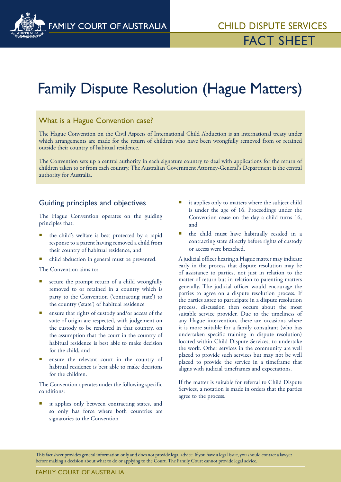

# Family Dispute Resolution (Hague Matters)

## What is a Hague Convention case?

The Hague Convention on the Civil Aspects of International Child Abduction is an international treaty under which arrangements are made for the return of children who have been wrongfully removed from or retained outside their country of habitual residence.

The Convention sets up a central authority in each signature country to deal with applications for the return of children taken to or from each country. The Australian Government Attorney-General's Department is the central authority for Australia.

### Guiding principles and objectives

The Hague Convention operates on the guiding principles that:

- the child's welfare is best protected by a rapid response to a parent having removed a child from their country of habitual residence, and
- child abduction in general must be prevented.

The Convention aims to:

- secure the prompt return of a child wrongfully removed to or retained in a country which is party to the Convention ('contracting state') to the country ('state') of habitual residence
- ensure that rights of custody and/or access of the state of origin are respected, with judgement on the custody to be rendered in that country, on the assumption that the court in the country of habitual residence is best able to make decision for the child, and
- ensure the relevant court in the country of habitual residence is best able to make decisions for the children.

The Convention operates under the following specific conditions:

 it applies only between contracting states, and so only has force where both countries are signatories to the Convention

- it applies only to matters where the subject child is under the age of 16. Proceedings under the Convention cease on the day a child turns 16, and
- **the child must have habitually resided in a** contracting state directly before rights of custody or access were breached.

A judicial officer hearing a Hague matter may indicate early in the process that dispute resolution may be of assistance to parties, not just in relation to the matter of return but in relation to parenting matters generally. The judicial officer would encourage the parties to agree on a dispute resolution process. If the parties agree to participate in a dispute resolution process, discussion then occurs about the most suitable service provider. Due to the timeliness of any Hague intervention, there are occasions where it is more suitable for a family consultant (who has undertaken specific training in dispute resolution) located within Child Dispute Services, to undertake the work. Other services in the community are well placed to provide such services but may not be well placed to provide the service in a timeframe that aligns with judicial timeframes and expectations.

If the matter is suitable for referral to Child Dispute Services, a notation is made in orders that the parties agree to the process.

This fact sheet provides general information only and does not provide legal advice. If you have a legal issue, you should contact a lawyer before making a decision about what to do or applying to the Court. The Family Court cannot provide legal advice.